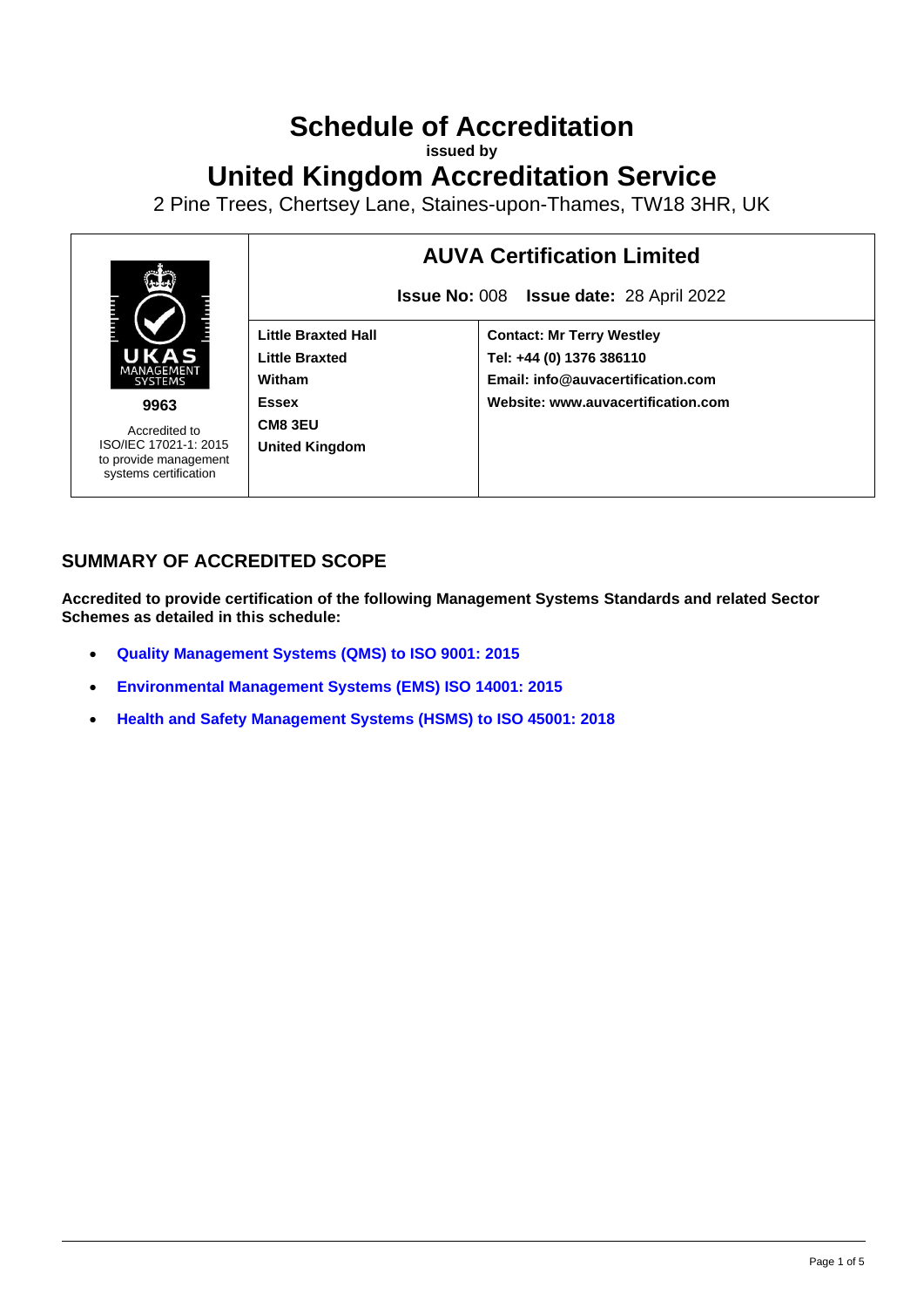# **Schedule of Accreditation**

**issued by**

**United Kingdom Accreditation Service**

2 Pine Trees, Chertsey Lane, Staines-upon-Thames, TW18 3HR, UK



# **SUMMARY OF ACCREDITED SCOPE**

**Accredited to provide certification of the following Management Systems Standards and related Sector Schemes as detailed in this schedule:**

- **[Quality Management Systems](#page-2-0) (QMS) to ISO 9001: 2015**
- **[Environmental Management Systems](#page-3-0) (EMS) ISO 14001: 2015**
- **[Health and Safety Management Systems \(HSMS\) to ISO 45001: 2018](#page-4-0)**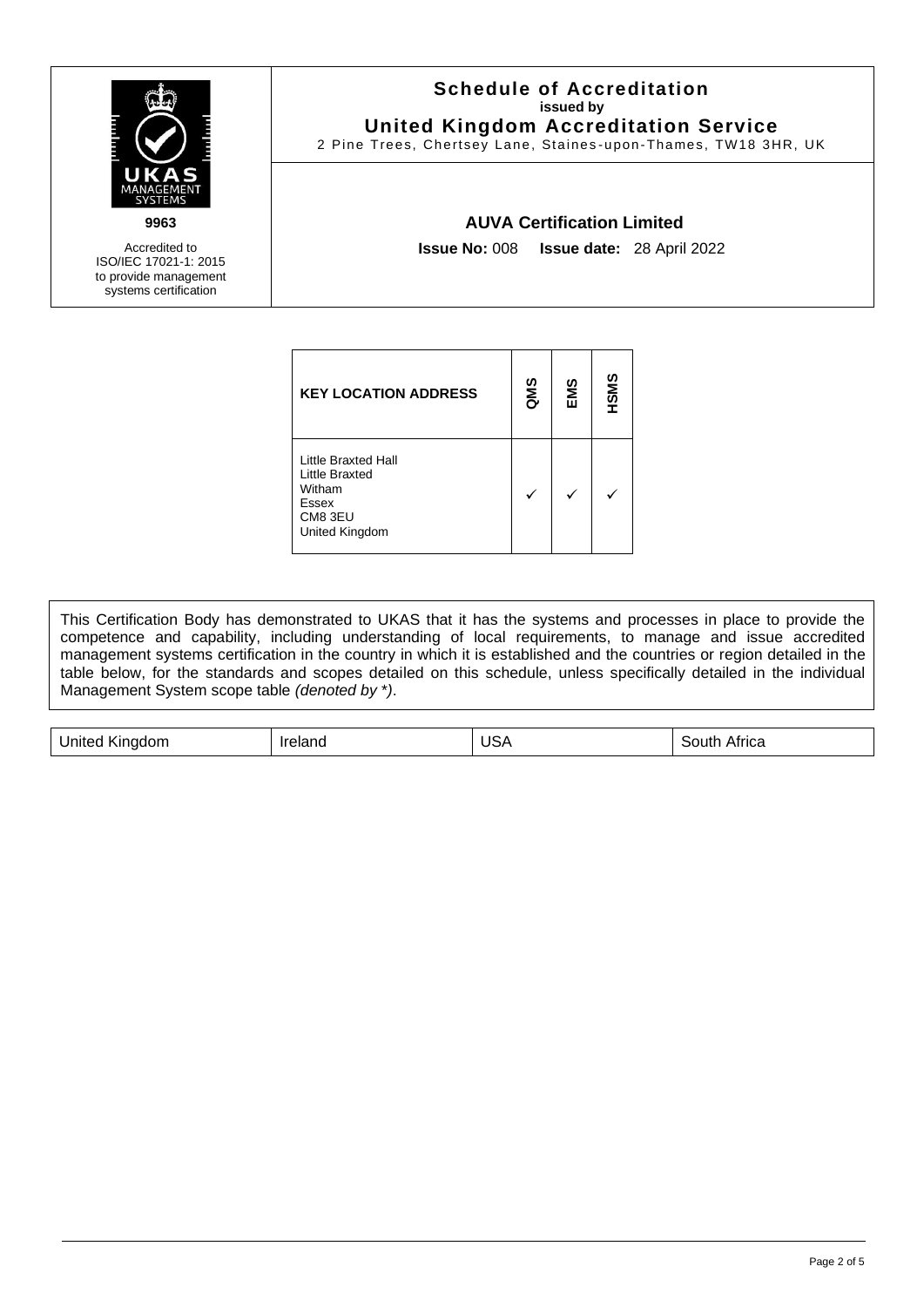

Accredited to ISO/IEC 17021-1: 2015 to provide management

systems certification

**Schedule of Accreditation issued by United Kingdom Accreditation Service**

2 Pine Trees, Chertsey Lane, Staines -upon-Thames, TW18 3HR, UK

### **AUVA Certification Limited**

**Issue No:** 008 **Issue date:** 28 April 2022

| <b>KEY LOCATION ADDRESS</b>                                                           | <b>QMS</b> | EMS | HSMS |
|---------------------------------------------------------------------------------------|------------|-----|------|
| Little Braxted Hall<br>Little Braxted<br>Witham<br>Essex<br>CM8 3EU<br>United Kingdom |            |     |      |

This Certification Body has demonstrated to UKAS that it has the systems and processes in place to provide the competence and capability, including understanding of local requirements, to manage and issue accredited management systems certification in the country in which it is established and the countries or region detailed in the table below, for the standards and scopes detailed on this schedule, unless specifically detailed in the individual Management System scope table *(denoted by* \**)*.

| .<br>---<br>ווזו<br>''ICa<br>10101<br>11 I C<br>. |  |  |  |  |
|---------------------------------------------------|--|--|--|--|
|---------------------------------------------------|--|--|--|--|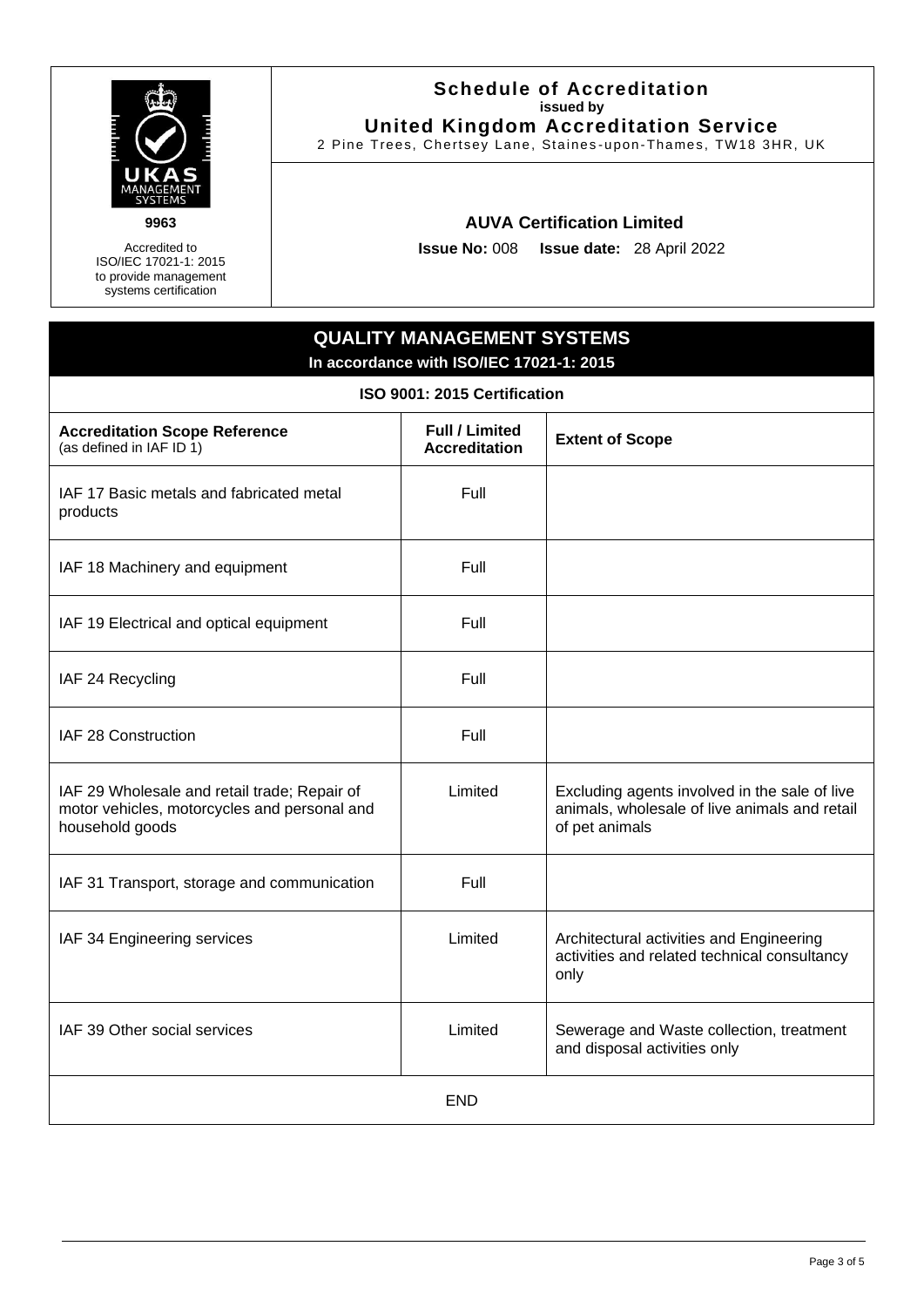

**9963**

Accredited to ISO/IEC 17021-1: 2015 to provide management systems certification

#### **Schedule of Accreditation issued by United Kingdom Accreditation Service**

2 Pine Trees, Chertsey Lane, Staines -upon-Thames, TW18 3HR, UK

## **AUVA Certification Limited**

**Issue No:** 008 **Issue date:** 28 April 2022

# **QUALITY MANAGEMENT SYSTEMS In accordance with ISO/IEC 17021-1: 2015**

<span id="page-2-0"></span>

| ISO 9001: 2015 Certification                                                                                    |                                               |                                                                                                                  |  |
|-----------------------------------------------------------------------------------------------------------------|-----------------------------------------------|------------------------------------------------------------------------------------------------------------------|--|
| <b>Accreditation Scope Reference</b><br>(as defined in IAF ID 1)                                                | <b>Full / Limited</b><br><b>Accreditation</b> | <b>Extent of Scope</b>                                                                                           |  |
| IAF 17 Basic metals and fabricated metal<br>products                                                            | Full                                          |                                                                                                                  |  |
| IAF 18 Machinery and equipment                                                                                  | Full                                          |                                                                                                                  |  |
| IAF 19 Electrical and optical equipment                                                                         | Full                                          |                                                                                                                  |  |
| IAF 24 Recycling                                                                                                | Full                                          |                                                                                                                  |  |
| IAF 28 Construction                                                                                             | Full                                          |                                                                                                                  |  |
| IAF 29 Wholesale and retail trade; Repair of<br>motor vehicles, motorcycles and personal and<br>household goods | Limited                                       | Excluding agents involved in the sale of live<br>animals, wholesale of live animals and retail<br>of pet animals |  |
| IAF 31 Transport, storage and communication                                                                     | Full                                          |                                                                                                                  |  |
| IAF 34 Engineering services                                                                                     | Limited                                       | Architectural activities and Engineering<br>activities and related technical consultancy<br>only                 |  |
| IAF 39 Other social services                                                                                    | Limited                                       | Sewerage and Waste collection, treatment<br>and disposal activities only                                         |  |
|                                                                                                                 | <b>END</b>                                    |                                                                                                                  |  |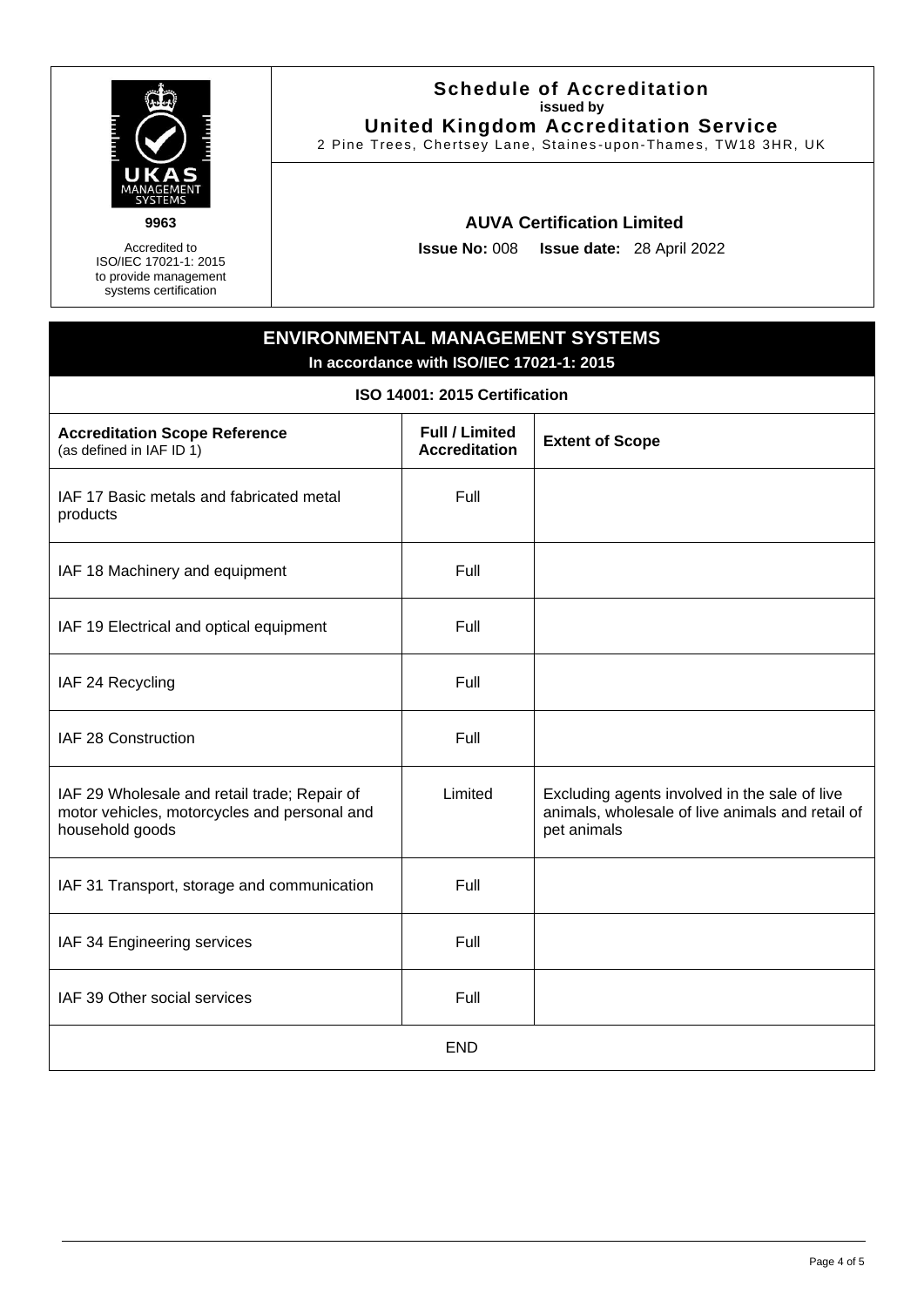

**9963**

Accredited to ISO/IEC 17021-1: 2015 to provide management systems certification

#### **Schedule of Accreditation issued by United Kingdom Accreditation Service**

2 Pine Trees, Chertsey Lane, Staines -upon-Thames, TW18 3HR, UK

## **AUVA Certification Limited**

**Issue No:** 008 **Issue date:** 28 April 2022

# <span id="page-3-0"></span>**ENVIRONMENTAL MANAGEMENT SYSTEMS In accordance with ISO/IEC 17021-1: 2015**

**ISO 14001: 2015 Certification**

| <b>Accreditation Scope Reference</b><br>(as defined in IAF ID 1)                                                | <b>Full / Limited</b><br><b>Accreditation</b> | <b>Extent of Scope</b>                                                                                           |
|-----------------------------------------------------------------------------------------------------------------|-----------------------------------------------|------------------------------------------------------------------------------------------------------------------|
| IAF 17 Basic metals and fabricated metal<br>products                                                            | Full                                          |                                                                                                                  |
| IAF 18 Machinery and equipment                                                                                  | Full                                          |                                                                                                                  |
| IAF 19 Electrical and optical equipment                                                                         | Full                                          |                                                                                                                  |
| IAF 24 Recycling                                                                                                | Full                                          |                                                                                                                  |
| IAF 28 Construction                                                                                             | Full                                          |                                                                                                                  |
| IAF 29 Wholesale and retail trade; Repair of<br>motor vehicles, motorcycles and personal and<br>household goods | Limited                                       | Excluding agents involved in the sale of live<br>animals, wholesale of live animals and retail of<br>pet animals |
| IAF 31 Transport, storage and communication                                                                     | Full                                          |                                                                                                                  |
| IAF 34 Engineering services                                                                                     | Full                                          |                                                                                                                  |
| IAF 39 Other social services                                                                                    | Full                                          |                                                                                                                  |
|                                                                                                                 | <b>END</b>                                    |                                                                                                                  |